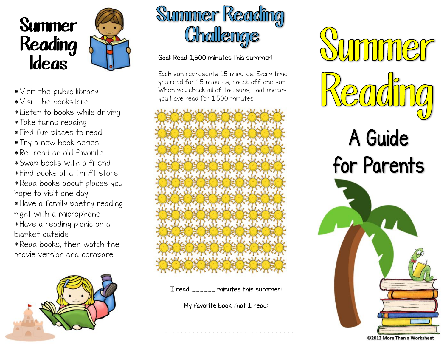



- \*Visit the public library
- \*Visit the bookstore
- \*Listen to books while driving
- \*Take turns reading
- \*Find fun places to read
- \*Try a new book series
- \*Re-read an old favorite
- \*Swap books with a friend
- \*Find books at a thrift store
- \*Read books about places you hope to visit one day
- \*Have a family poetry reading night with a microphone
- \*Have a reading picnic on a blanket outside
- \*Read books, then watch the movie version and compare





## **Ideas** Goal: Read 1,500 minutes this summer!

Each sun represents 15 minutes. Every time you read for 15 minutes, check off one sun. When you check all of the suns, that means you have read for 1,500 minutes!



I read \_\_\_\_\_\_ minutes this summer!

My favorite book that I read:

\_\_\_\_\_\_\_\_\_\_\_\_\_\_\_\_\_\_\_\_\_\_\_\_\_\_\_\_\_\_\_\_\_\_



©2013 More Than a Worksheet